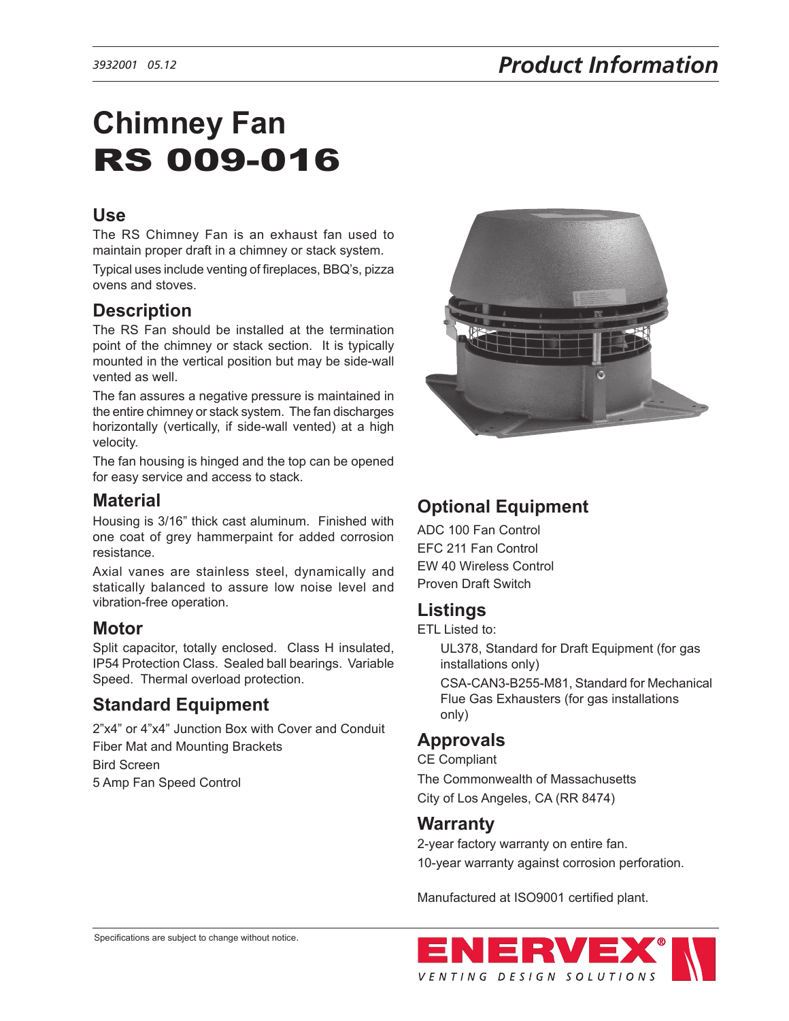# **Chimney Fan**  RS 009-016

## **Use**

The RS Chimney Fan is an exhaust fan used to maintain proper draft in a chimney or stack system.

Typical uses include venting of fireplaces, BBQ's, pizza ovens and stoves.

## **Description**

The RS Fan should be installed at the termination point of the chimney or stack section. It is typically mounted in the vertical position but may be side-wall vented as well.

The fan assures a negative pressure is maintained in the entire chimney or stack system. The fan discharges horizontally (vertically, if side-wall vented) at a high velocity.

The fan housing is hinged and the top can be opened for easy service and access to stack.

#### **Material**

Housing is 3/16" thick cast aluminum. Finished with one coat of grey hammerpaint for added corrosion resistance.

Axial vanes are stainless steel, dynamically and statically balanced to assure low noise level and vibration-free operation.

#### **Motor**

Split capacitor, totally enclosed. Class H insulated, IP54 Protection Class. Sealed ball bearings. Variable Speed. Thermal overload protection.

## **Standard Equipment**

2"x4" or 4"x4" Junction Box with Cover and Conduit Fiber Mat and Mounting Brackets Bird Screen 5 Amp Fan Speed Control



## **Optional Equipment**

ADC 100 Fan Control EFC 211 Fan Control EW 40 Wireless Control Proven Draft Switch

## **Listings**

ETL Listed to:

UL378, Standard for Draft Equipment (for gas installations only) CSA-CAN3-B255-M81, Standard for Mechanical Flue Gas Exhausters (for gas installations only)

## **Approvals**

CE Compliant The Commonwealth of Massachusetts City of Los Angeles, CA (RR 8474)

#### **Warranty**

2-year factory warranty on entire fan. 10-year warranty against corrosion perforation.

Manufactured at ISO9001 certified plant.